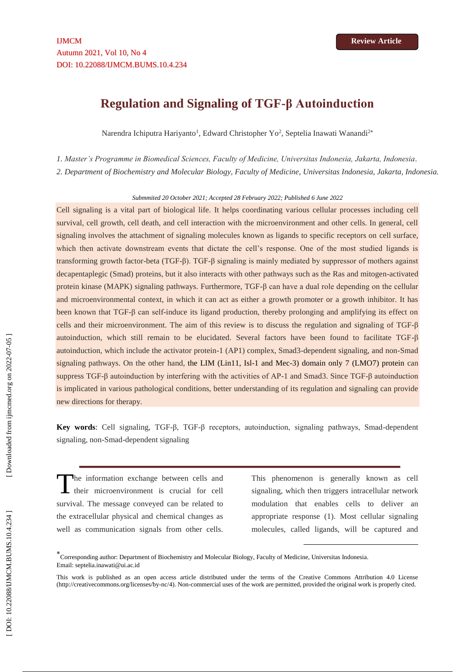# **Regulation and Signaling of TGF -β Autoinduction**

Narendra Ichiputra Hariyanto<sup>1</sup>, Edward Christopher Yo<sup>2</sup>, Septelia Inawati Wanandi<sup>2\*</sup>

*1. Master's Programme in Biomedical Sciences, Faculty of Medicine, Universitas Indonesia, Jakarta, Indonesia .*

*2. Department of Biochemistry and Molecular Biology, Faculty of Medicine, Universitas Indonesia, Jakarta, Indonesia.*

#### *Submmited 20 October 2021; Accepted 28 February 202 2; Published 6 June 202 2*

Cell signaling is a vital part of biological life. It helps coordinating various cellular processes including cell survival, cell growth, cell death, and cell interaction with the microenvironment and other cells. In general, cell signaling involves the attachment of signaling molecules known as ligands to specific receptors on cell surface, which then activate downstream events that dictate the cell's response. One of the most studied ligands is transforming growth factor-beta (TGF-β). TGF-β signaling is mainly mediated by suppressor of mothers against decapentaplegic (Smad) proteins, but it also interacts with other pathways such as the Ras and mitogen -activated protein kinase (MAPK) signaling pathways. Furthermore, TGF -β can have a dual role depending on the cellular and microenvironmental context, in which it can act as either a growth promoter or a growth inhibitor. It has been known that TGF-β can self-induce its ligand production, thereby prolonging and amplifying its effect on cells and their microenvironment. The aim of this review is to discuss the regulation and signaling of TGF -β autoinduction, which still remain to be elucidated. Several factors have been found to facilitate TGF -β autoinduction, which include the activator protein-1 (AP1) complex, Smad3-dependent signaling, and non-Smad signaling pathways. On the other hand, the LIM (Lin11, Isl-1 and Mec-3) domain only 7 (LMO7) protein can suppress TGF- $\beta$  autoinduction by interfering with the activities of AP-1 and Smad3. Since TGF- $\beta$  autoinduction is implicated in various pathological conditions, better understanding of its regulation and signaling can provide new directions for therapy.

**Key words:** Cell signaling, TGF-β, TGF-β receptors, autoinduction, signaling pathways, Smad-dependent signaling, non -Smad -dependent signaling

he information exchange between cells and their microenvironment is crucial for cell survival. The message conveyed can be related to the extracellular physical and chemical changes as well as communication signals from other cells. T

This phenomenon is generally known as cell signaling, which then triggers intracellular network modulation that enables cells to deliver an appropriate response (1). Most cellular signaling molecules, called ligands, will be captured and

**.** 

<sup>\*&</sup>lt;br>Corresponding author: Department of Biochemistry and Molecular Biology, Faculty of Medicine, Universitas Indonesia. Email: septelia.inawati@ui.ac.id

This work is published as an open access article distributed under the terms of the Creative Commons Attribution 4.0 License [\(http://creativecommons.org/licenses/by-nc/4\)](http://creativecommons.org/licenses/by-nc/4). Non-commercial uses of the work are permitted, provided the original work is properly cited.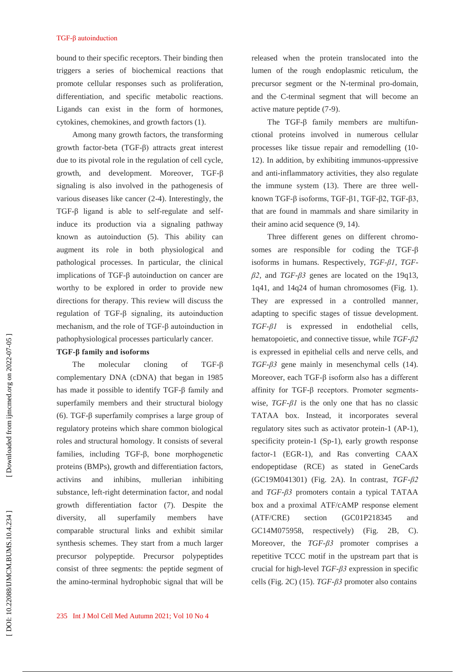bound to their specific receptors. Their binding then triggers a series of biochemical reactions that promote cellular responses such as proliferation, differentiation, and specific metabolic reactions. Ligands can exist in the form of hormones, cytokines, chemokines, and growth factors (1).

Among many growth factors, the transforming growth factor -beta (TGF -β) attracts great interest due to its pivotal role in the regulation of cell cycle, growth, and development. Moreover, TGF -β signaling is also involved in the pathogenesis of various diseases like cancer (2 -4). Interestingly, the TGF-β ligand is able to self-regulate and selfinduce its production via a signaling pathway known as autoinduction (5). This ability can augment its role in both physiological and pathological processes. In particular, the clinical implications of TGF -β autoinduction on cancer are worthy to be explored in order to provide new directions for therapy. This review will discuss the regulation of TGF -β signaling, its autoinduction mechanism, and the role of TGF -β autoinduction in pathophysiological processes particularly cancer.

## **TGF -β family and isoforms**

The molecular cloning of  $TGF- $\beta$$ complementary DNA (cDNA) that began in 1985 has made it possible to identify TGF -β family and superfamily members and their structural biology (6). TGF -β superfamily comprises a large group of regulatory proteins which share common biological roles and structural homology. It consists of several families, including TGF -β, bone morphogenetic proteins (BMPs), growth and differentiation factors, activins and inhibins, mullerian inhibiting substance, left -right determination factor, and nodal growth differentiation factor (7). Despite the diversity, all superfamily members have comparable structural links and exhibit similar synthesis schemes. They start from a much larger precursor polypeptide. Precursor polypeptides consist of three segments: the peptide segment of the amino -terminal hydrophobic signal that will be released when the protein translocated into the lumen of the rough endoplasmic reticulum, the precursor segment or the N -terminal pro -domain, and the C -terminal segment that will become an active mature peptide (7 -9).

The TGF -β family members are multifun ctional proteins involved in numerous cellular processes like tissue repair and remodelling (10 - 12). In addition, by exhibiting immunos -uppressive and anti -inflammatory activities, they also regulate the immune system (13). There are three well known TGF -β isoforms, TGF -β1, TGF -β2, TGF -β3, that are found in mammals and share similarity in their amino acid sequence (9, 14).

Three different genes on different chromosomes are responsible for coding the TGF-β isoforms in humans. Respectively, *TGF -β1*, *TGF β2*, and *TGF -β3* genes are located on the 19q13, 1q41, and 14q24 of human chromosomes (Fig. 1). They are expressed in a controlled manner, adapting to specific stages of tissue development. *TGF -β1* is expressed in endothelial cells, hematopoietic, and connective tissue, while *TGF -β2* is expressed in epithelial cells and nerve cells, and *TGF -β3* gene mainly in mesenchymal cells (14). Moreover, each TGF- $\beta$  isoform also has a different affinity for TGF -β receptors. Promoter segments wise,  $TGF - \beta l$  is the only one that has no classic TATAA box. Instead, it incorporates several regulatory sites such as activator protein -1 (AP -1), specificity protein -1 (Sp -1), early growth response factor -1 (EGR -1), and Ras converting CAAX endopeptidase (RCE) as stated in GeneCards (GC19M041301) (Fig. 2A). In contrast, *TGF -β2* and *TGF -β3* promoters contain a typical TATAA box and a proximal ATF/cAMP response element (ATF/CRE) section (GC01P218345 and GC14M075958, respectively) (Fig. 2B, C). Moreover, the *TGF -β3* promoter comprises a repetitive TCCC motif in the upstream part that is crucial for high -level *TGF -β3* expression in specific cells (Fig. 2C) (15). *TGF -β3* promoter also contains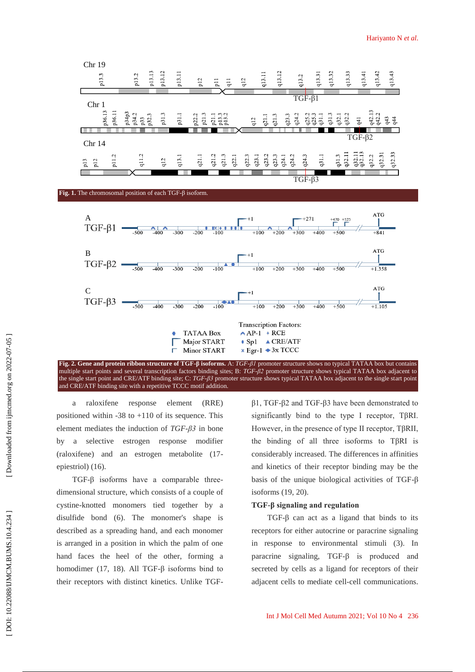



**Fig. 2 . Gene and protein ribbon structure of TGF -β isoforms.** A: *TGF -β1* promoter structure shows no typical TATAA box but contains multiple start points and several transcription factors binding sites; B: *TGF -β2* promoter structure shows typical TATAA box adjacent to the single start point and CRE/ATF binding site; C: *TGF -β3* promoter structure shows typical TATAA box adjacent to the single start point and CRE/ATF binding site with a repetitive TCCC motif addition.

a raloxifene response element (RRE) positioned within -38 to +110 of its sequence. This element mediates the induction of *TGF -β3* in bone by a selective estrogen response modifier (raloxifene) and an estrogen metabolite (17 epiestriol) (16).

TGF-β isoforms have a comparable threedimensional structure, which consists of a couple of cystine -knotted monomers tied together by a disulfide bond (6). The monomer's shape is described as a spreading hand, and each monomer is arranged in a position in which the palm of one hand faces the heel of the other, forming a homodimer (17, 18). All TGF- $\beta$  isoforms bind to their receptors with distinct kinetics. Unlike TGF -

β1, TGF -β2 and TGF -β3 have been demonstrated to significantly bind to the type I receptor, TβRI. However, in the presence of type II receptor, TβRII, the binding of all three isoforms to TβRI is considerably increased. The differences in affinities and kinetics of their receptor binding may be the basis of the unique biological activities of TGF -β isoforms (19, 20).

## **TGF -β signaling and regulation**

TGF- $\beta$  can act as a ligand that binds to its receptors for either autocrine or paracrine signaling in response to environmental stimuli (3). In paracrine signaling, TGF -β is produced and secreted by cells as a ligand for receptors of their adjacent cells to mediate cell -cell communications.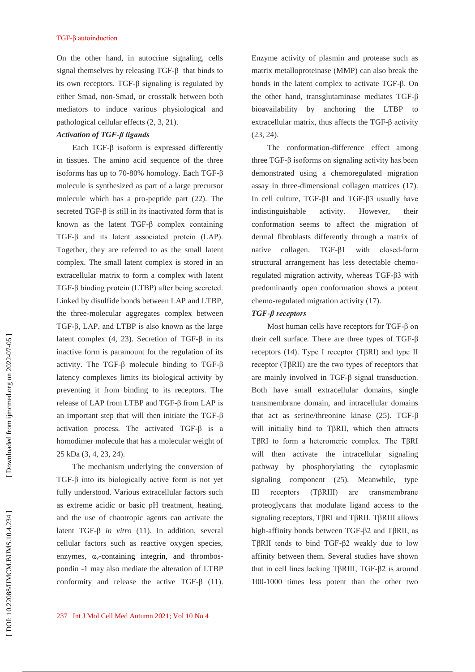On the other hand, in autocrine signaling, cells signal themselves by releasing TGF -β that binds to its own receptors. TGF -β signaling is regulated by either Smad, non -Smad, or crosstalk between both mediators to induce various physiological and pathological cellular effects (2, 3, 21).

#### *Activation of TGF -β ligands*

Each TGF -β isoform is expressed differently in tissues. The amino acid sequence of the three isoforms has up to 70 -80% homology. Each TGF -β molecule is synthesized as part of a large precursor molecule which has a pro -peptide part (22). The secreted  $TGF-\beta$  is still in its inactivated form that is known as the latent TGF -β complex containing TGF- $\beta$  and its latent associated protein (LAP). Together, they are referred to as the small latent complex. The small latent complex is stored in an extracellular matrix to form a complex with latent TGF -β binding protein (LTBP) after being secreted. Linked by disulfide bonds between LAP and LTBP, the three -molecular aggregates complex between TGF -β, LAP, and LTBP is also known as the large latent complex  $(4, 23)$ . Secretion of TGF-β in its inactive form is paramount for the regulation of its activity. The TGF -β molecule binding to TGF -β latency complexes limits its biological activity by preventing it from binding to its receptors. The release of LAP from LTBP and TGF -β from LAP is an important step that will then initiate the TGF- $\beta$ activation process. The activated TGF -β is a homodimer molecule that has a molecular weight of 25 kDa (3, 4, 23, 24).

The mechanism underlying the conversion of TGF -β into its biologically active form is not yet fully understood. Various extracellular factors such as extreme acidic or basic pH treatment, heating, and the use of chaotropic agents can activate the latent TGF -β *in vitro* (11). In addition, several cellular factors such as reactive oxygen species, enzymes,  $\alpha$ <sub>v</sub>-containing integrin, and thrombospondin -1 may also mediate the alteration of LTBP conformity and release the active  $TGF-\beta$  (11). Enzyme activity of plasmin and protease such as matrix metalloproteinase (MMP) can also break the bonds in the latent complex to activate TGF -β. On the other hand, transglutaminase mediates TGF -β bioavailability by anchoring the LTBP extracellular matrix, thus affects the TGF -β activity (23, 24).

The conformation -difference effect among three TGF- $β$  isoforms on signaling activity has been demonstrated using a chemoregulated migration assay in three -dimensional collagen matrices (17). In cell culture, TGF- $β1$  and TGF- $β3$  usually have indistinguishable activity. However, their conformation seems to affect the migration of dermal fibroblasts differently through a matrix of native collagen. TGF- $\beta$ 1 -β1 with closed -form structural arrangement has less detectable chemo regulated migration activity, whereas TGF -β3 with predominantly open conformation shows a potent chemo -regulated migration activity (17).

## *TGF -β receptors*

Most human cells have receptors for TGF -β on their cell surface. There are three types of TGF -β receptors (14). Type I receptor (TβRI) and type II receptor (TβRII) are the two types of receptors that are mainly involved in TGF -β signal transduction. Both have small extracellular domains, single transmembrane domain, and intracellular domains that act as serine/threonine kinase (25). TGF-β will initially bind to TβRII, which then attracts TβRI to form a heteromeric complex. The TβRI will then activate the intracellular signaling pathway by phosphorylating the cytoplasmic signaling component (25). Meanwhile, type III receptors (TβRIII) are transmembrane proteoglycans that modulate ligand access to the signaling receptors, TβRI and TβRII. TβRIII allows high -affinity bonds between TGF -β2 and TβRII, as TβRII tends to bind TGF -β2 weakly due to low affinity between them. Several studies have shown that in cell lines lacking TβRIII, TGF -β2 is around 100 -1000 times less potent than the other two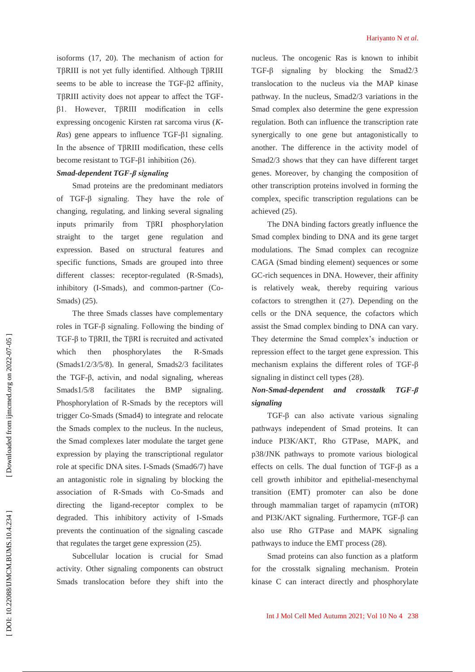isoforms (17, 20). The mechanism of action for TβRIII is not yet fully identified. Although TβRIII seems to be able to increase the TGF -β2 affinity, TβRIII activity does not appear to affect the TGF β1. However, TβRIII modification in cells expressing oncogenic Kirsten rat sarcoma virus ( *K-Ras*) gene appears to influence TGF-β1 signaling. In the absence of TβRIII modification, these cells become resistant to TGF- $β1$  inhibition (26).

## *Smad-dependent TGF -β signaling*

Smad proteins are the predominant mediators of TGF -β signaling. They have the role of changing, regulating, and linking several signaling inputs primarily from TβRI phosphorylation straight to the target gene regulation and expression. Based on structural features and specific functions, Smads are grouped into three different classes: receptor-regulated (R-Smads), inhibitory (I -Smads), and common -partner (Co - Smads) (25).

The three Smads classes have complementary roles in TGF -β signaling. Following the binding of TGF -β to TβRII, the TβRI is recruited and activated which then phosphorylates the -Smads (Smads1/2/3/5/8). In general, Smads2/3 facilitates the TGF -β, activin, and nodal signaling, whereas Smads1/5/8 facilitates the BMP signaling. Phosphorylation of R -Smads by the receptors will trigger Co -Smads (Smad4) to integrate and relocate the Smads complex to the nucleus. In the nucleus, the Smad complexes later modulate the target gene expression by playing the transcriptional regulator role at specific DNA sites. I -Smads (Smad6/7) have an antagonistic role in signaling by blocking the association of R -Smads with Co -Smads and directing the ligand -receptor complex to be degraded. This inhibitory activity of I -Smads prevents the continuation of the signaling cascade that regulates the target gene expression (25).

Subcellular location is crucial for Smad activity. Other signaling components can obstruct Smads translocation before they shift into the nucleus. The oncogenic Ras is known to inhibit TGF -β signaling by blocking the Smad2/3 translocation to the nucleus via the MAP kinase pathway. In the nucleus, Smad2/3 variations in the Smad complex also determine the gene expression regulation. Both can influence the transcription rate synergically to one gene but antagonistically to another. The difference in the activity model of Smad2/3 shows that they can have different target genes. Moreover, by changing the composition of other transcription proteins involved in forming the complex, specific transcription regulations can be achieved (25).

The DNA binding factors greatly influence the Smad complex binding to DNA and its gene target modulations. The Smad complex can recognize CAGA (Smad binding element) sequences or some GC -rich sequences in DNA. However, their affinity is relatively weak, thereby requiring various cofactors to strengthen it (27). Depending on the cells or the DNA sequence, the cofactors which assist the Smad complex binding to DNA can vary. They determine the Smad complex's induction or repression effect to the target gene expression. This mechanism explains the different roles of TGF-β signaling in distinct cell types (28).

#### *Non -Smad-dependent and crosstalk TGF*  $T$ *GF-β signaling*

TGF -β can also activate various signaling pathways independent of Smad proteins. It can induce PI3K/AKT, Rho GTPase, MAPK, and p38/JNK pathways to promote various biological effects on cells. The dual function of TGF- $\beta$  as a cell growth inhibitor and epithelial -mesenchymal transition (EMT) promoter can also be done through mammalian target of rapamycin (mTOR) and PI3K/AKT signaling. Furthermore, TGF -β can also use Rho GTPase and MAPK signaling pathways to induce the EMT process (28).

Smad proteins can also function as a platform for the crosstalk signaling mechanism. Protein kinase C can interact directly and phosphorylate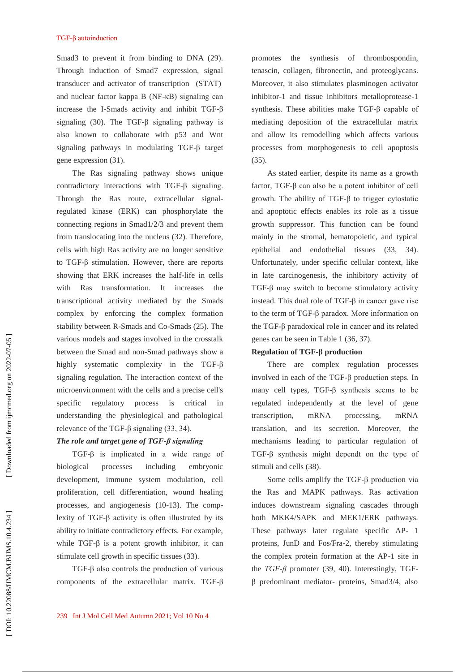Smad3 to prevent it from binding to DNA (29). Through induction of Smad7 expression, signal transducer and activator of transcription (STAT) and nuclear factor kappa B (NF -κB) signaling can increase the I -Smads activity and inhibit TGF -β signaling (30). The TGF -β signaling pathway is also known to collaborate with p53 and Wnt signaling pathways in modulating TGF -β target gene expression (31).

The Ras signaling pathway shows unique contradictory interactions with TGF -β signaling. Through the Ras route, extracellular signal regulated kinase (ERK) can phosphorylate the connecting regions in Smad1/2/3 and prevent them from translocating into the nucleus (32). Therefore, cells with high Ras activity are no longer sensitive to TGF -β stimulation. However, there are reports showing that ERK increases the half -life in cells with Ras transformation. It increases the transcriptional activity mediated by the Smads complex by enforcing the complex formation stability between R -Smads and Co -Smads (25). The various models and stages involved in the crosstalk between the Smad and non -Smad pathways show a highly systematic complexity in the TGF-β signaling regulation. The interaction context of the microenvironment with the cells and a precise cell's specific regulatory process is critical in understanding the physiological and pathological relevance of the TGF- $β$  signaling  $(33, 34)$ .

## *The role and target gene of TGF -β signaling*

TGF -β is implicated in a wide range of biological processes including embryonic development, immune system modulation, cell proliferation, cell differentiation, wound healing processes, and angiogenesis (10 -13). The comp lexity of TGF -β activity is often illustrated by its ability to initiate contradictory effects. For example, while  $TGF-\beta$  is a potent growth inhibitor, it can stimulate cell growth in specific tissues (33).

TGF -β also controls the production of various components of the extracellular matrix. TGF -β promotes the synthesis of thrombospondin, tenascin, collagen, fibronectin, and proteoglycans. Moreover, it also stimulates plasminogen activator inhibitor -1 and tissue inhibitors metalloprotease -1 synthesis. These abilities make TGF -β capable of mediating deposition of the extracellular matrix and allow its remodelling which affects various processes from morphogenesis to cell apoptosis (35).

As stated earlier, despite its name as a growth factor, TGF -β can also be a potent inhibitor of cell growth. The ability of TGF -β to trigger cytostatic and apoptotic effects enables its role as a tissue growth suppressor. This function can be found mainly in the stromal, hematopoietic, and typical epithelial and endothelial tissues (33, 34). Unfortunately, under specific cellular context, like in late carcinogenesis, the inhibitory activity of TGF -β may switch to become stimulatory activity instead. This dual role of TGF -β in cancer gave rise to the term of TGF -β paradox. More information on the TGF -β paradoxical role in cancer and its related genes can be seen in Table 1 (36, 37).

## **Regulation of TGF - β production**

There are complex regulation processes involved in each of the TGF -β production steps. In many cell types, TGF -β synthesis seems to be regulated independently at the level of gene transcription, mRNA processing, mRNA translation, and its secretion. Moreover, the mechanisms leading to particular regulation of TGF -β synthesis might dependt on the type of stimuli and cells (38).

Some cells amplify the TGF -β production via the Ras and MAPK pathways. Ras activation induces downstream signaling cascades through both MKK4/SAPK and MEK1/ERK pathways. These pathways later regulate specific AP- 1 proteins, JunD and Fos/Fra -2, thereby stimulating the complex protein formation at the AP -1 site in the  $TGF$ - $\beta$  promoter (39, 40). Interestingly, TGFβ predominant mediator - proteins, Smad3/4, also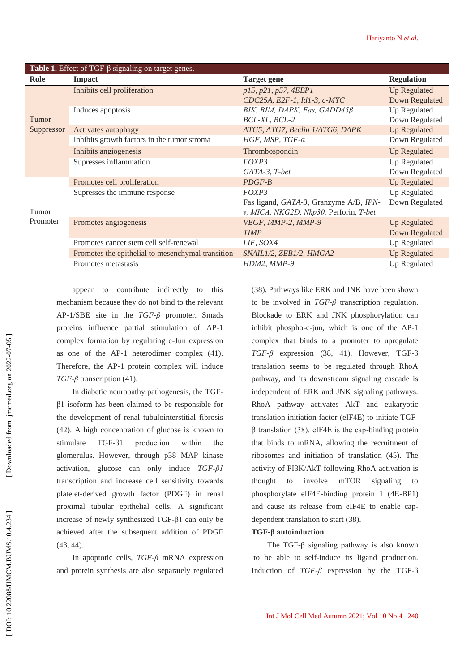| Table 1. Effect of TGF- $\beta$ signaling on target genes. |                                                   |                                                                                  |                       |
|------------------------------------------------------------|---------------------------------------------------|----------------------------------------------------------------------------------|-----------------------|
| Role                                                       | <b>Impact</b>                                     | <b>Target gene</b>                                                               | <b>Regulation</b>     |
| Tumor<br>Suppressor                                        | Inhibits cell proliferation                       | p15, p21, p57, 4EBP1                                                             | <b>Up Regulated</b>   |
|                                                            |                                                   | CDC25A, E2F-1, Id1-3, c-MYC                                                      | <b>Down Regulated</b> |
|                                                            | Induces apoptosis                                 | BIK, BIM, DAPK, Fas, GADD45ß                                                     | Up Regulated          |
|                                                            |                                                   | BCL-XL, BCL-2                                                                    | Down Regulated        |
|                                                            | Activates autophagy                               | ATG5, ATG7, Beclin 1/ATG6, DAPK                                                  | <b>Up Regulated</b>   |
|                                                            | Inhibits growth factors in the tumor stroma       | HGF, MSP, $TGF-\alpha$                                                           | Down Regulated        |
|                                                            | Inhibits angiogenesis                             | Thrombospondin                                                                   | <b>Up Regulated</b>   |
|                                                            | Supresses inflammation                            | FOXP3                                                                            | Up Regulated          |
|                                                            |                                                   | GATA-3, T-bet                                                                    | Down Regulated        |
| Tumor<br>Promoter                                          | Promotes cell proliferation                       | $PDGF-B$                                                                         | <b>Up Regulated</b>   |
|                                                            | Supresses the immune response                     | FOXP3                                                                            | Up Regulated          |
|                                                            |                                                   | Fas ligand, GATA-3, Granzyme A/B, IPN-<br>y, MICA, NKG2D, Nkp30, Perforin, T-bet | Down Regulated        |
|                                                            | Promotes angiogenesis                             | VEGF, MMP-2, MMP-9                                                               | <b>Up Regulated</b>   |
|                                                            |                                                   | <b>TIMP</b>                                                                      | Down Regulated        |
|                                                            | Promotes cancer stem cell self-renewal            | LIF, SOX4                                                                        | Up Regulated          |
|                                                            | Promotes the epithelial to mesenchymal transition | SNAIL1/2, ZEB1/2, HMGA2                                                          | <b>Up Regulated</b>   |
|                                                            | Promotes metastasis                               | HDM2, MMP-9                                                                      | Up Regulated          |
|                                                            |                                                   |                                                                                  |                       |

appear to contribute indirectly to this mechanism because they do not bind to the relevant AP -1/SBE site in the *TGF -β* promoter. Smads proteins influence partial stimulation of AP -1 complex formation by regulating c -Jun expression as one of the AP -1 heterodimer complex (41). Therefore, the AP -1 protein complex will induce *TGF -β* transcription (41).

In diabetic neuropathy pathogenesis, the TGF β1 isoform has been claimed to be responsible for the development of renal tubulointerstitial fibrosis (42). A high concentration of glucose is known to stimulate TGF-81 production within the glomerulus. However, through p38 MAP kinase activation, glucose can only induce *TGF -β1* transcription and increase cell sensitivity towards platelet -derived growth factor (PDGF) in renal proximal tubular epithelial cells. A significant increase of newly synthesized TGF -β1 can only be achieved after the subsequent addition of PDGF (43, 44).

In apoptotic cells, *TGF -β* mRNA expression and protein synthesis are also separately regulated

(38). Pathways like ERK and JNK have been shown to be involved in  $TGF$ - $\beta$  transcription regulation. Blockade to ERK and JNK phosphorylation can inhibit phospho-c-jun, which is one of the AP-1 complex that binds to a promoter to upregulate *TGF-β* expression (38, 41). However, TGF-β translation seems to be regulated through RhoA pathway, and its downstream signaling cascade is independent of ERK and JNK signaling pathways. RhoA pathway activates AkT and eukaryotic translation initiation factor (eIF4E) to initiate TGF  $β$  translation (38). eIF4E is the cap-binding protein that binds to mRNA, allowing the recruitment of ribosomes and initiation of translation (45). The activity of PI3K/AkT following RhoA activation is thought to involve mTOR signaling to phosphorylate eIF4E -binding protein 1 (4E -BP1) and cause its release from eIF4E to enable cap dependent translation to start (38).

## **TGF -β autoinduction**

The TGF -β signaling pathway is also known to be able to self-induce its ligand production. Induction of *TGF-β* expression by the TGF-β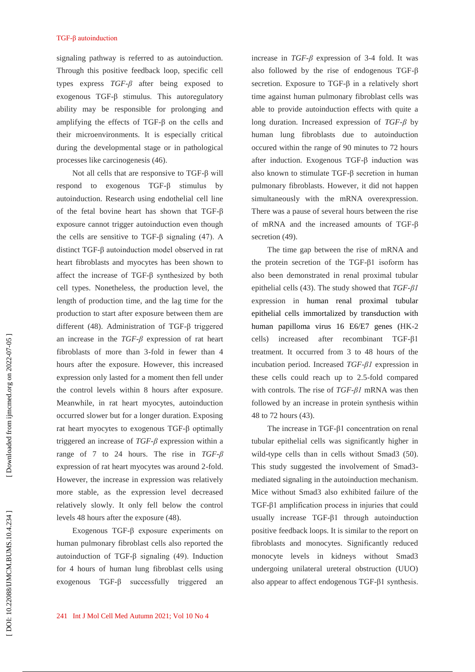signaling pathway is referred to as autoinduction. Through this positive feedback loop, specific cell types express *TGF - β* after being exposed to exogenous TGF -β stimulus. This autoregulatory ability may be responsible for prolonging and amplifying the effects of TGF -β on the cells and their microenvironments. It is especially critical during the developmental stage or in pathological processes like carcinogenesis (46).

Not all cells that are responsive to TGF- $β$  will respond to exogenous TGF -β stimulus by autoinduction. Research using endothelial cell line of the fetal bovine heart has shown that TGF -β exposure cannot trigger autoinduction even though the cells are sensitive to TGF-β signaling  $(47)$ . A distinct TGF -β autoinduction model observed in rat heart fibroblasts and myocytes has been shown to affect the increase of TGF -β synthesized by both cell types. Nonetheless, the production level, the length of production time, and the lag time for the production to start after exposure between them are different (48). Administration of TGF -β triggered an increase in the *TGF -β* expression of rat heart fibroblasts of more than 3 -fold in fewer than 4 hours after the exposure. However, this increased expression only lasted for a moment then fell under the control levels within 8 hours after exposure. Meanwhile, in rat heart myocytes, autoinduction occurred slower but for a longer duration. Exposing rat heart myocytes to exogenous TGF -β optimally triggered an increase of *TGF - β* expression within a range of 7 to 24 hours. The rise in *TGF -β* expression of rat heart myocytes was around 2 -fold. However, the increase in expression was relatively more stable, as the expression level decreased relatively slowly. It only fell below the control levels 48 hours after the exposure (48).

Exogenous TGF -β exposure experiments on human pulmonary fibroblast cells also reported the autoinduction of TGF -β signaling (49). Induction for 4 hours of human lung fibroblast cells using exogenous TGF -β successfully triggered an

increase in  $TGF$ - $\beta$  expression of 3-4 fold. It was also followed by the rise of endogenous TGF -β secretion. Exposure to  $TGF-\beta$  in a relatively short time against human pulmonary fibroblast cells was able to provide autoinduction effects with quite a long duration. Increased expression of *TGF - β* by human lung fibroblasts due to autoinduction occured within the range of 90 minutes to 72 hours after induction. Exogenous TGF -β induction was also known to stimulate TGF -β secretion in human pulmonary fibroblasts. However, it did not happen simultaneously with the mRNA overexpression. There was a pause of several hours between the rise of mRNA and the increased amounts of TGF -β secretion (49).

The time gap between the rise of mRNA and the protein secretion of the TGF -β1 isoform has also been demonstrated in renal proximal tubular epithelial cells (43). The study showed that *TGF -β1* expression in human renal proximal tubular epithelial cells immortalized by transduction with human papilloma virus 16 E6/E7 genes (HK -2 cells) increased after recombinant TGF -β1 treatment. It occurred from 3 to 48 hours of the incubation period. Increased *TGF -β1* expression in these cells could reach up to 2.5 -fold compared with controls. The rise of *TGF -β1* mRNA was then followed by an increase in protein synthesis within 48 to 72 hours (43).

The increase in TGF -β1 concentration on renal tubular epithelial cells was significantly higher in wild -type cells than in cells without Smad3 (50). This study suggested the involvement of Smad3 mediated signaling in the autoinduction mechanism. Mice without Smad3 also exhibited failure of the TGF -β1 amplification process in injuries that could usually increase TGF-β1 through autoinduction positive feedback loops. It is similar to the report on fibroblasts and monocytes. Significantly reduced monocyte levels in kidneys without Smad3 undergoing unilateral ureteral obstruction (UUO) also appear to affect endogenous TGF -β1 synthesis.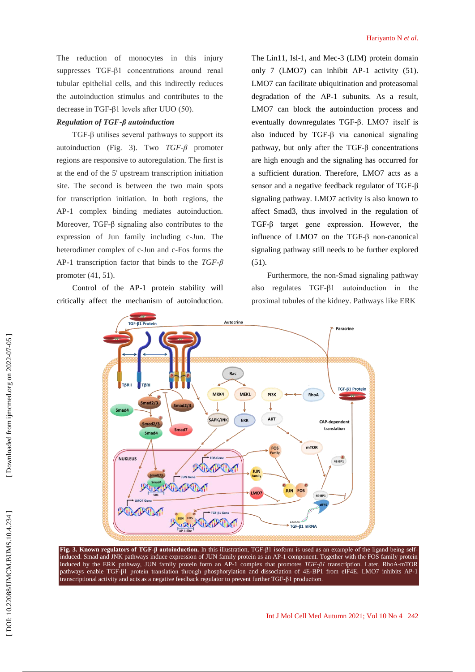## *Regulation of TGF -β autoinduction*

TGF -β utilises several pathways to support its autoinduction (Fig. 3). Two *TGF -β* promoter regions are responsive to autoregulation. The first is at the end of the 5' upstream transcription initiation site. The second is between the two main spots for transcription initiation. In both regions, the AP -1 complex binding mediates autoinduction. Moreover, TGF -β signaling also contributes to the expression of Jun family including c -Jun. The heterodimer complex of c -Jun and c -Fos forms the AP -1 transcription factor that binds to the *TGF -β* promoter (41, 51).

Control of the AP -1 protein stability will critically affect the mechanism of autoinduction.

The Lin11, Isl -1, and Mec -3 (LIM) protein domain only 7 (LMO7) can inhibit AP -1 activity (51). LMO7 can facilitate ubiquitination and proteasomal degradation of the AP -1 subunits. As a result, LMO7 can block the autoinduction process and eventually downregulates TGF -β. LMO7 itself is also induced by TGF -β via canonical signaling pathway, but only after the TGF -β concentrations are high enough and the signaling has occurred for a sufficient duration. Therefore, LMO7 acts as a sensor and a negative feedback regulator of TGF -β signaling pathway. LMO7 activity is also known to affect Smad3, thus involved in the regulation of TGF -β target gene expression. However, the influence of LMO7 on the TGF- $\beta$  non-canonical signaling pathway still needs to be further explored (51).

Furthermore, the non -Smad signaling pathway also regulates TGF -β1 autoinduction in the proximal tubules of the kidney. Pathways like ERK



**Fig. 3. Known regulators of TGF -β autoinduction.** In this illustration, TGF -β1 isoform is used as an example of the ligand being selfinduced. Smad and JNK pathways induce expression of JUN family protein as an AP-1 component. Together with the FOS family protein induced by the ERK pathway, JUN family protein form an AP -1 complex that promotes *TGF -β1* transcription. Later, RhoA -mTOR pathways enable TGF-ß1 protein translation through phosphorylation and dissociation of 4E-BP1 from eIF4E. LMO7 inhibits AP-1 transcriptional activity and acts as a negative feedback regulator to prevent further TGF -β1 production.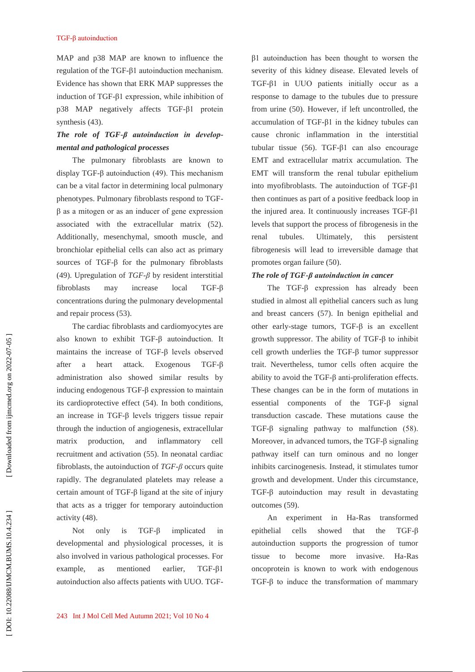MAP and p38 MAP are known to influence the regulation of the TGF -β1 autoinduction mechanism. Evidence has shown that ERK MAP suppresses the induction of TGF -β1 expression, while inhibition of p38 MAP negatively affects TGF -β1 protein synthesis (43).

## *The role of TGF -β autoinduction in develop mental and pathological processes*

The pulmonary fibroblasts are known to display TGF -β autoinduction (49). This mechanism can be a vital factor in determining local pulmonary phenotypes. Pulmonary fibroblasts respond to TGF β as a mitogen or as an inducer of gene expression associated with the extracellular matrix (52). Additionally, mesenchymal, smooth muscle, and bronchiolar epithelial cells can also act as primary sources of TGF -β for the pulmonary fibroblasts (49). Upregulation of *TGF -β* by resident interstitial fibroblasts may increase local  $TGF- $\beta$$ concentrations during the pulmonary developmental and repair process (53).

The cardiac fibroblasts and cardiomyocytes are also known to exhibit TGF -β autoinduction. It maintains the increase of TGF -β levels observed after a heart attack. Exogenous  $TGF- $\beta$$ administration also showed similar results by inducing endogenous TGF -β expression to maintain its cardioprotective effect (54). In both conditions, an increase in TGF -β levels triggers tissue repair through the induction of angiogenesis, extracellular matrix production, and inflammatory cell recruitment and activation (55). In neonatal cardiac fibroblasts, the autoinduction of *TGF -β* occurs quite rapidly. The degranulated platelets may release a certain amount of TGF -β ligand at the site of injury that acts as a trigger for temporary autoinduction activity (48).

Not only is TGF- $\beta$ implicated in developmental and physiological processes, it is also involved in various pathological processes. For example, as mentioned earlier,  $TGF- $\beta$ 1$ autoinduction also affects patients with UUO. TGF -

β1 autoinduction has been thought to worsen the severity of this kidney disease. Elevated levels of TGF -β1 in UUO patients initially occur as a response to damage to the tubules due to pressure from urine (50). However, if left uncontrolled, the accumulation of TGF -β1 in the kidney tubules can cause chronic inflammation in the interstitial tubular tissue (56). TGF -β1 can also encourage EMT and extracellular matrix accumulation. The EMT will transform the renal tubular epithelium into myofibroblasts. The autoinduction of TGF -β1 then continues as part of a positive feedback loop in the injured area. It continuously increases TGF -β1 levels that support the process of fibrogenesis in the renal tubules. Ultimately, this persistent fibrogenesis will lead to irreversible damage that promotes organ failure (50).

## *The role of TGF -β autoinduction in cancer*

The TGF -β expression has already been studied in almost all epithelial cancers such as lung and breast cancers (57). In benign epithelial and other early-stage tumors,  $TGF-\beta$  is an excellent growth suppressor. The ability of TGF -β to inhibit cell growth underlies the TGF -β tumor suppressor trait. Nevertheless, tumor cells often acquire the ability to avoid the TGF- $\beta$  anti-proliferation effects. These changes can be in the form of mutations in essential components of the TGF -β signal transduction cascade. These mutations cause the TGF -β signaling pathway to malfunction (58). Moreover, in advanced tumors, the TGF -β signaling pathway itself can turn ominous and no longer inhibits carcinogenesis. Instead, it stimulates tumor growth and development. Under this circumstance, TGF -β autoinduction may result in devastating outcomes (59).

An experiment in Ha transformed epithelial cells showed that the  $TGF- $\beta$$ autoinduction supports the progression of tumor tissue to become more invasive. H<sub>a-Ras</sub> oncoprotein is known to work with endogenous TGF -β to induce the transformation of mammary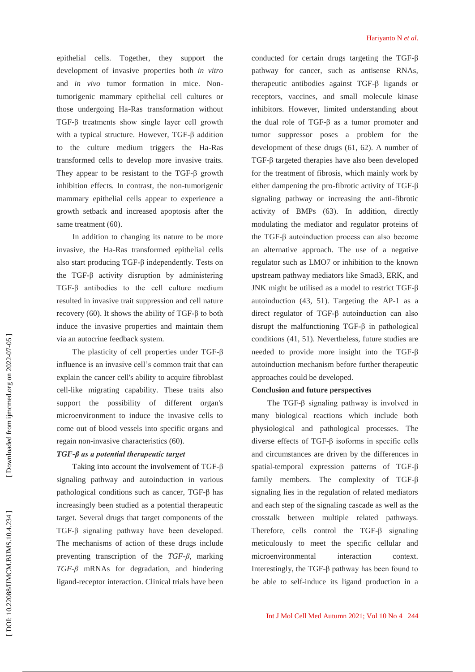epithelial cells. Together, they support the development of invasive properties both *in vitro* and *in vivo* tumor formation in mice. Non tumorigenic mammary epithelial cell cultures or those undergoing Ha -Ras transformation without TGF -β treatments show single layer cell growth with a typical structure. However, TGF-β addition to the culture medium triggers the Ha -Ras transformed cells to develop more invasive traits. They appear to be resistant to the  $TGF-\beta$  growth inhibition effects. In contrast, the non -tumorigenic mammary epithelial cells appear to experience a growth setback and increased apoptosis after the same treatment (60).

In addition to changing its nature to be more invasive, the Ha -Ras transformed epithelial cells also start producing TGF -β independently. Tests on the TGF -β activity disruption by administering TGF -β antibodies to the cell culture medium resulted in invasive trait suppression and cell nature recovery (60). It shows the ability of TGF- $β$  to both induce the invasive properties and maintain them via an autocrine feedback system.

The plasticity of cell properties under TGF -β influence is an invasive cell's common trait that can explain the cancer cell's ability to acquire fibroblast cell -like migrating capability. These traits also support the possibility of different organ's microenvironment to induce the invasive cells to come out of blood vessels into specific organs and regain non -invasive characteristics (60).

## *TGF -β as a potential therapeutic target*

Taking into account the involvement of TGF -β signaling pathway and autoinduction in various pathological conditions such as cancer, TGF -β has increasingly been studied as a potential therapeutic target. Several drugs that target components of the TGF -β signaling pathway have been developed. The mechanisms of action of these drugs include preventing transcription of the *TGF -β*, marking *TGF -β* mRNAs for degradation, and hindering ligand -receptor interaction. Clinical trials have been conducted for certain drugs targeting the TGF -β pathway for cancer, such as antisense RNAs, therapeutic antibodies against TGF -β ligands or receptors, vaccines, and small molecule kinase inhibitors. However, limited understanding about the dual role of TGF -β as a tumor promoter and tumor suppressor poses a problem for the development of these drugs (61, 62). A number of TGF - β targeted therapies have also been developed for the treatment of fibrosis, which mainly work by either dampening the pro-fibrotic activity of TGF- $\beta$ signaling pathway or increasing the anti -fibrotic activity of BMPs (63). In addition, directly modulating the mediator and regulator proteins of the TGF -β autoinduction process can also become an alternative approach. The use of a negative regulator such as LMO7 or inhibition to the known upstream pathway mediators like Smad3, ERK, and JNK might be utilised as a model to restrict TGF- $β$ autoinduction (4 3, 51). Targeting the AP -1 as a direct regulator of TGF -β autoinduction can also disrupt the malfunctioning  $TGF-\beta$  in pathological conditions (41, 51). Nevertheless, future studies are needed to provide more insight into the TGF -β autoinduction mechanism before further therapeutic approaches could be developed.

## **Conclusion and future perspectives**

The TGF -β signaling pathway is involved in many biological reactions which include both physiological and pathological processes. The diverse effects of TGF -β isoforms in specific cells and circumstances are driven by the differences in spatial -temporal expression patterns of TGF -β family members. The complexity of TGF -β signaling lies in the regulation of related mediators and each step of the signaling cascade as well as the crosstalk between multiple related pathways. Therefore, cells control the TGF -β signaling meticulously to meet the specific cellular and microenvironmental interaction context. Interestingly, the TGF -β pathway has been found to be able to self-induce its ligand production in a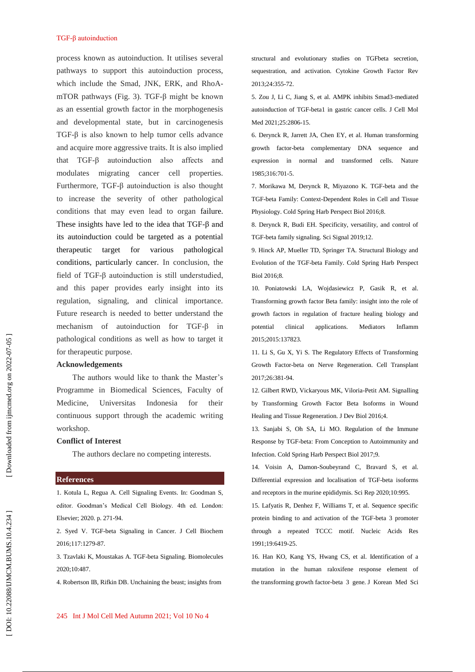process known as autoinduction. It utilises several pathways to support this autoinduction process, which include the Smad, JNK, ERK, and RhoA mTOR pathways (Fig. 3). TGF -β might be known as an essential growth factor in the morphogenesis and developmental state, but in carcinogenesis TGF -β is also known to help tumor cells advance and acquire more aggressive traits. It is also implied that TGF -β autoinduction also affects and modulates migrating cancer cell properties. Furthermore, TGF -β autoinduction is also thought to increase the severity of other pathological conditions that may even lead to organ failure. These insights have led to the idea that TGF -β and its autoinduction could be targeted as a potential therapeutic target for various pathological conditions, particularly cancer. In conclusion, the field of TGF -β autoinduction is still understudied, and this paper provides early insight into its regulation, signaling, and clinical importance. Future research is needed to better understand the mechanism of autoinduction for TGF -β in pathological conditions as well as how to target it for therapeutic purpose.

#### **Acknowledgements**

The authors would like to thank the Master's Programme in Biomedical Sciences, Faculty of Medicine, Universitas Indonesia for their continuous support through the academic writing workshop.

## **Conflict of Interest**

The authors declare no competing interests.

#### **References**

1. Kotula L, Regua A. Cell Signaling Events. In: Goodman S, editor. Goodman's Medical Cell Biology. 4th ed. London: Elsevier; 2020. p. 271 -94.

2. Syed V. TGF -beta Signaling in Cancer. J Cell Biochem 2016;117:1279 -87.

3. Tzavlaki K, Moustakas A. TGF -beta Signaling. Biomolecules 2020;10:487.

4. Robertson IB, Rifkin DB. Unchaining the beast; insights from

structural and evolutionary studies on TGFbeta secretion, sequestration, and activation. Cytokine Growth Factor Rev 2013;24:355 -72.

5. Zou J, Li C, Jiang S, et al. AMPK inhibits Smad3 -mediated autoinduction of TGF -beta1 in gastric cancer cells. J Cell Mol Med 2021;25:2806 -15.

6. Derynck R, Jarrett JA, Chen EY, et al. Human transforming growth factor -beta complementary DNA sequence and expression in normal and transformed cells. Nature 1985;316:701 -5.

7. Morikawa M, Derynck R, Miyazono K. TGF -beta and the TGF -beta Family: Context -Dependent Roles in Cell and Tissue Physiology. Cold Spring Harb Perspect Biol 2016;8.

8. Derynck R, Budi EH. Specificity, versatility, and control of TGF -beta family signaling. Sci Signal 2019;12.

9. Hinck AP, Mueller TD, Springer TA. Structural Biology and Evolution of the TGF -beta Family. Cold Spring Harb Perspect Biol 2016;8.

10. Poniatowski LA, Wojdasiewicz P, Gasik R, et al. Transforming growth factor Beta family: insight into the role of growth factors in regulation of fracture healing biology and potential clinical applications. Mediators Inflamm 2015;2015:137823.

11. Li S, Gu X, Yi S. The Regulatory Effects of Transforming Growth Factor -beta on Nerve Regeneration. Cell Transplant 2017;26:381 -94.

12. Gilbert RWD, Vickaryous MK, Viloria -Petit AM. Signalling by Transforming Growth Factor Beta Isoforms in Wound Healing and Tissue Regeneration. J Dev Biol 2016;4.

13. Sanjabi S, Oh SA, Li MO. Regulation of the Immune Response by TGF -beta: From Conception to Autoimmunity and Infection. Cold Spring Harb Perspect Biol 2017;9.

14. Voisin A, Damon -Soubeyrand C, Bravard S, et al. Differential expression and localisation of TGF -beta isoforms and receptors in the murine epididymis. Sci Rep 2020;10:995.

15. Lafyatis R, Denhez F, Williams T, et al. Sequence specific protein binding to and activation of the TGF -beta 3 promoter through a repeated TCCC motif. Nucleic Acids Res 1991;19:6419 -25.

16. Han KO, Kang YS, Hwang CS, et al. Identification of a mutation in the human raloxifene response element of the transforming growth factor -beta 3 gene. J Korean Med Sci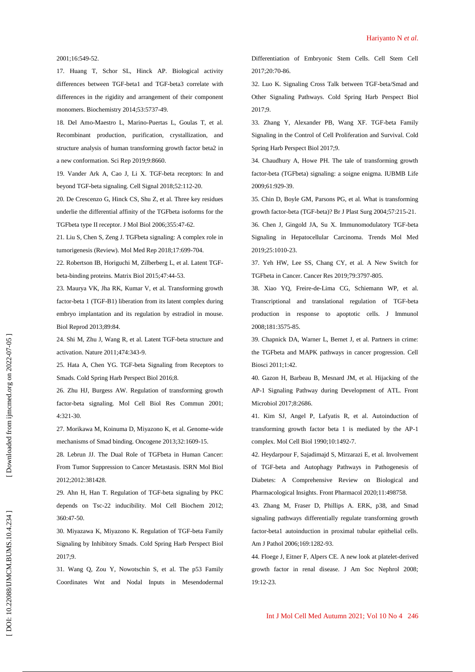#### 2001;16:549 -52.

17. Huang T, Schor SL, Hinck AP. Biological activity differences between TGF -beta1 and TGF -beta3 correlate with differences in the rigidity and arrangement of their component monomers. Biochemistry 2014;53:5737 -49.

18. Del Amo -Maestro L, Marino -Puertas L, Goulas T, et al. Recombinant production, purification, crystallization, and structure analysis of human transforming growth factor beta2 in a new conformation. Sci Rep 2019;9:8660.

19. Vander Ark A, Cao J, Li X. TGF -beta receptors: In and beyond TGF -beta signaling. Cell Signal 2018;52:112 -20.

20. De Crescenzo G, Hinck CS, Shu Z, et al. Three key residues underlie the differential affinity of the TGFbeta isoforms for the TGFbeta type II receptor. J Mol Biol 2006;355:4 7 -62.

21. Liu S, Chen S, Zeng J. TGFbeta signaling: A complex role in tumorigenesis (Review). Mol Med Rep 2018;17:699 -704.

22. Robertson IB, Horiguchi M, Zilberberg L, et al. Latent TGF beta -binding proteins. Matrix Biol 2015;47:44 -53.

23. Maurya VK, Jha RK, Kumar V, et al. Transforming growth factor -beta 1 (TGF -B1) liberation from its latent complex during embryo implantation and its regulation by estradiol in mouse. Biol Reprod 2013;89:84.

24. Shi M, Zhu J, Wang R, et al. Latent TGF -beta structure and activation. Nature 2011;474:343 -9.

25. Hata A, Chen YG. TGF -beta Signaling from Receptors to Smads. Cold Spring Harb Perspect Biol 2016;8.

26. Zhu HJ, Burgess AW. Regulation of transforming growth factor -beta signaling. Mol Cell Biol Res Commun 2001; 4:321 -30 .

27. Morikawa M, Koinuma D, Miyazono K, et al. Genome -wide mechanisms of Smad binding. Oncogene 2013;32:1609 -15.

28. Lebrun JJ. The Dual Role of TGFbeta in Human Cancer: From Tumor Suppression to Cancer Metastasis. ISRN Mol Biol 2012;2012:381428.

29. Ahn H, Han T. Regulation of TGF -beta signaling by PKC depends on Tsc -22 inducibility. Mol Cell Biochem 2012; 360:47 -50.

30. Miyazawa K, Miyazono K. Regulation of TGF -beta Family Signaling by Inhibitory Smads. Cold Spring Harb Perspect Biol 2017;9.

31. Wang Q, Zou Y, Nowotschin S, et al. The p53 Family Coordinates Wnt and Nodal Inputs in Mesendodermal Differentiation of Embryonic Stem Cells. Cell Stem Cell 2017;20:70 -86.

32. Luo K. Signaling Cross Talk between TGF -beta/Smad and Other Signaling Pathways. Cold Spring Harb Perspect Biol 2017;9.

33. Zhang Y, Alexander PB, Wang XF. TGF -beta Family Signaling in the Control of Cell Proliferation and Survival. Cold Spring Harb Perspect Biol 2017;9.

34. Chaudhury A, Howe PH. The tale of transforming growth factor -beta (TGFbeta) signaling: a soigne enigma. IUBMB Life 2009;61:929 -39.

35. Chin D, Boyle GM, Parsons PG, et al. What is transforming growth factor -beta (TGF -beta)? Br J Plast Surg 2004;57:215 -21.

36. Chen J, Gingold JA, Su X. Immunomodulatory TGF -beta Signaling in Hepatocellular Carcinoma. Trends Mol Med 2019;25:1010 -23.

37. Yeh HW, Lee SS, Chang CY, et al. A New Switch for TGFbeta in Cancer. Cancer Res 2019;79:3797 -805.

38. Xiao YQ, Freire -de -Lima CG, Schiemann WP, et al. Transcriptional and translational regulation of TGF -beta production in response to apoptotic cells. J Immunol 2008;181:3575 -85.

39. Chapnick DA, Warner L, Bernet J, et al. Partners in crime: the TGFbeta and MAPK pathways in cancer progression. Cell Biosci 2011;1:42.

40. Gazon H, Barbeau B, Mesnard JM, et al. Hijacking of the AP -1 Signaling Pathway during Development of ATL. Front Microbiol 2017;8:2686.

41. Kim SJ, Angel P, Lafyatis R, et al. Autoinduction of transforming growth factor beta 1 is mediated by the AP -1 complex. Mol Cell Biol 1990;10:149 2 -7.

42. Heydarpour F, Sajadimajd S, Mirzarazi E, et al. Involvement of TGF -beta and Autophagy Pathways in Pathogenesis of Diabetes: A Comprehensive Review on Biological and Pharmacological Insights. Front Pharmacol 2020;11:498758.

43. Zhang M, Fraser D, Phillips A. ERK, p38, and Smad signaling pathways differentially regulate transforming growth factor -beta1 autoinduction in proximal tubular epithelial cells. Am J Pathol 2006;169:1282 -93.

44. Floege J, Eitner F, Alpers CE. A new look at platelet -derived growth factor in renal disease. J Am Soc Nephrol 2008; 19:12 -23.

Int J Mo l Cell Med Autumn 2021; Vol 10 No 4 246